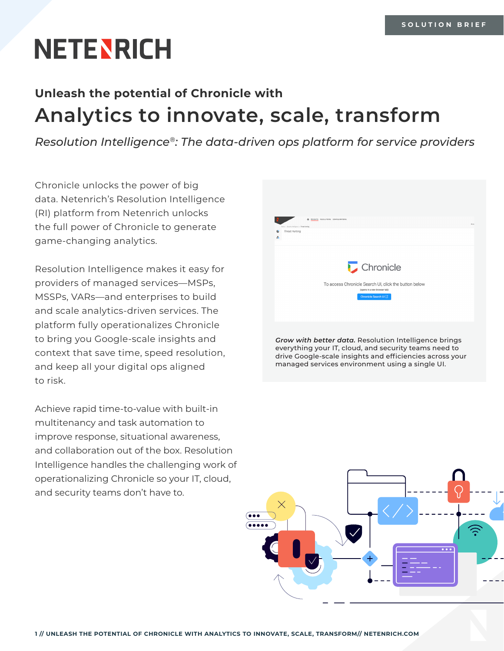# **NETENRICH**

# **Unleash the potential of Chronicle with Analytics to innovate, scale, transform**

*Resolution Intelligence®: The data-driven ops platform for service providers*

Chronicle unlocks the power of big data. Netenrich's Resolution Intelligence (RI) platform from Netenrich unlocks the full power of Chronicle to generate game-changing analytics.

Resolution Intelligence makes it easy for providers of managed services—MSPs, MSSPs, VARs—and enterprises to build and scale analytics-driven services. The platform fully operationalizes Chronicle to bring you Google-scale insights and context that save time, speed resolution, and keep all your digital ops aligned to risk.

Achieve rapid time-to-value with built-in multitenancy and task automation to improve response, situational awareness, and collaboration out of the box. Resolution Intelligence handles the challenging work of operationalizing Chronicle so your IT, cloud, and security teams don't have to.



*Grow with better data.* Resolution Intelligence brings everything your IT, cloud, and security teams need to drive Google-scale insights and efficiencies across your managed services environment using a single UI.

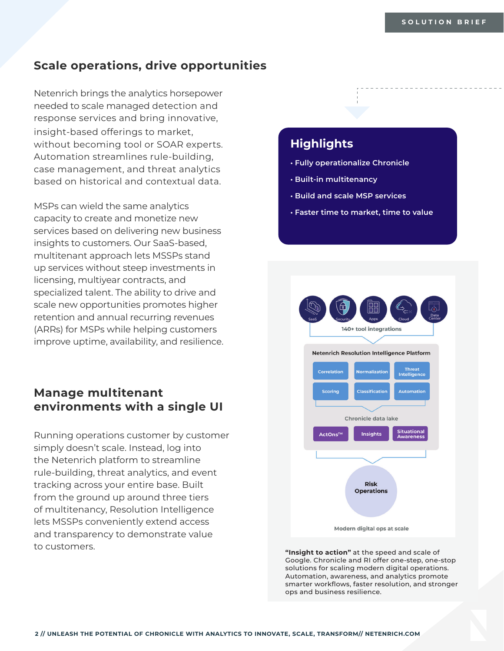#### **Scale operations, drive opportunities**

Netenrich brings the analytics horsepower needed to scale managed detection and response services and bring innovative, insight-based offerings to market, without becoming tool or SOAR experts. Automation streamlines rule-building, case management, and threat analytics based on historical and contextual data.

MSPs can wield the same analytics capacity to create and monetize new services based on delivering new business insights to customers. Our SaaS-based, multitenant approach lets MSSPs stand up services without steep investments in licensing, multiyear contracts, and specialized talent. The ability to drive and scale new opportunities promotes higher retention and annual recurring revenues (ARRs) for MSPs while helping customers improve uptime, availability, and resilience.

## **Manage multitenant environments with a single UI**

Running operations customer by customer simply doesn't scale. Instead, log into the Netenrich platform to streamline rule-building, threat analytics, and event tracking across your entire base. Built from the ground up around three tiers of multitenancy, Resolution Intelligence lets MSSPs conveniently extend access and transparency to demonstrate value to customers.

## **Highlights**

- **Fully operationalize Chronicle**
- **Built-in multitenancy**
- **Build and scale MSP services**
- **Faster time to market, time to value**



**"Insight to action"** at the speed and scale of Google. Chronicle and RI offer one-step, one-stop solutions for scaling modern digital operations. Automation, awareness, and analytics promote smarter workflows, faster resolution, and stronger ops and business resilience.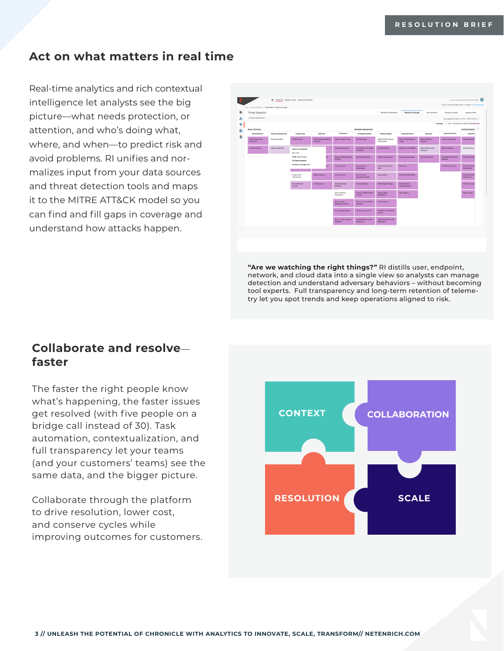## **Act on what matters in real time**

Real-time analytics and rich contextual intelligence let analysts see the big picture—what needs protection, or attention, and who's doing what, where, and when—to predict risk and avoid problems. RI unifies and normalizes input from your data sources and threat detection tools and maps it to the MITRE ATT&CK model so you can find and fill gaps in coverage and understand how attacks happen.



**"Are we watching the right things?"** RI distills user, endpoint, network, and cloud data into a single view so analysts can manage detection and understand adversary behaviors – without becoming tool experts. Full transparency and long-term retention of telemetry let you spot trends and keep operations aligned to risk.

## **Collaborate and resolve faster**

The faster the right people know what's happening, the faster issues get resolved (with five people on a bridge call instead of 30). Task automation, contextualization, and full transparency let your teams (and your customers' teams) see the same data, and the bigger picture.

Collaborate through the platform to drive resolution, lower cost, and conserve cycles while improving outcomes for customers.

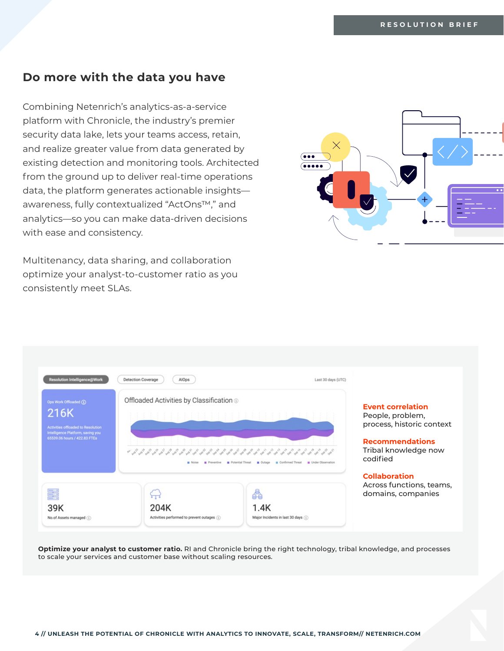#### **Do more with the data you have**

Combining Netenrich's analytics-as-a-service platform with Chronicle, the industry's premier security data lake, lets your teams access, retain, and realize greater value from data generated by existing detection and monitoring tools. Architected from the ground up to deliver real-time operations data, the platform generates actionable insights awareness, fully contextualized "ActOns™," and analytics—so you can make data-driven decisions with ease and consistency.

Multitenancy, data sharing, and collaboration optimize your analyst-to-customer ratio as you consistently meet SLAs.





**Optimize your analyst to customer ratio.** RI and Chronicle bring the right technology, tribal knowledge, and processes to scale your services and customer base without scaling resources.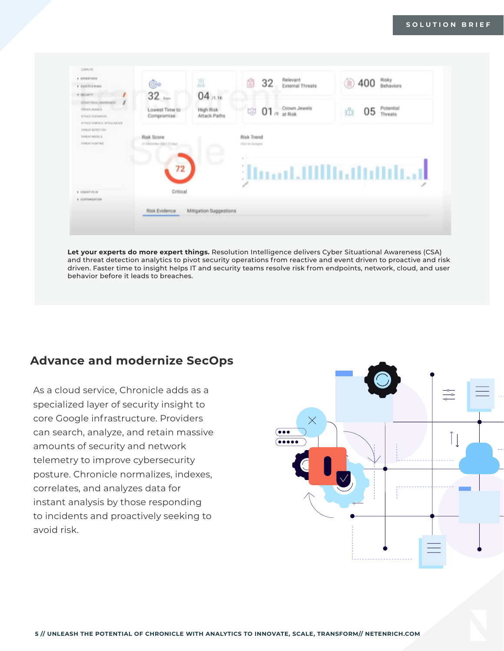

**Let your experts do more expert things.** Resolution Intelligence delivers Cyber Situational Awareness (CSA) and threat detection analytics to pivot security operations from reactive and event driven to proactive and risk driven. Faster time to insight helps IT and security teams resolve risk from endpoints, network, cloud, and user behavior before it leads to breaches.

## **Advance and modernize SecOps**

As a cloud service, Chronicle adds as a specialized layer of security insight to core Google infrastructure. Providers can search, analyze, and retain massive amounts of security and network telemetry to improve cybersecurity posture. Chronicle normalizes, indexes, correlates, and analyzes data for instant analysis by those responding to incidents and proactively seeking to avoid risk.

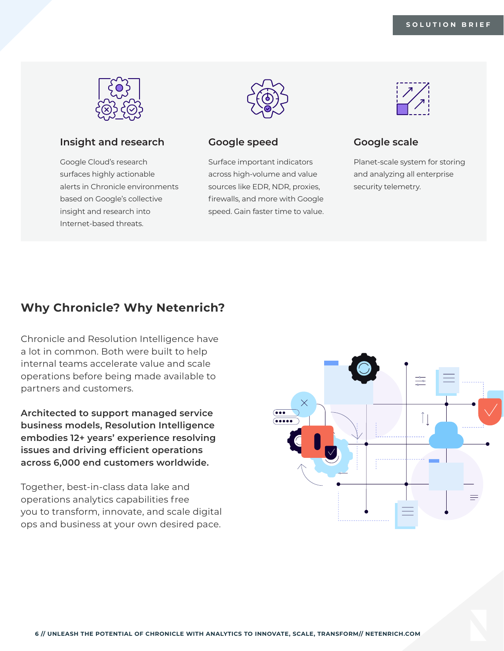

#### **Insight and research**

Google Cloud's research surfaces highly actionable alerts in Chronicle environments based on Google's collective insight and research into Internet-based threats.



#### **Google speed**

Surface important indicators across high-volume and value sources like EDR, NDR, proxies, firewalls, and more with Google speed. Gain faster time to value.



#### **Google scale**

Planet-scale system for storing and analyzing all enterprise security telemetry.

## **Why Chronicle? Why Netenrich?**

Chronicle and Resolution Intelligence have a lot in common. Both were built to help internal teams accelerate value and scale operations before being made available to partners and customers.

**Architected to support managed service business models, Resolution Intelligence embodies 12+ years' experience resolving issues and driving efficient operations across 6,000 end customers worldwide.** 

Together, best-in-class data lake and operations analytics capabilities free you to transform, innovate, and scale digital ops and business at your own desired pace.

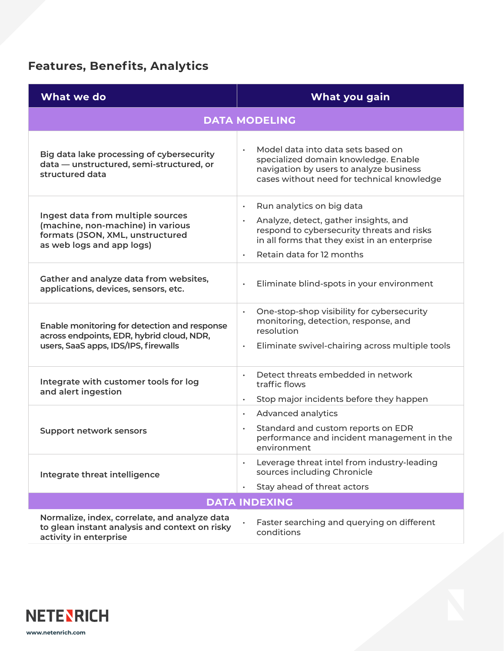## **Features, Benefits, Analytics**

| What we do                                                                                                                              | What you gain                                                                                                                                                                                               |  |
|-----------------------------------------------------------------------------------------------------------------------------------------|-------------------------------------------------------------------------------------------------------------------------------------------------------------------------------------------------------------|--|
| <b>DATA MODELING</b>                                                                                                                    |                                                                                                                                                                                                             |  |
| Big data lake processing of cybersecurity<br>data - unstructured, semi-structured, or<br>structured data                                | Model data into data sets based on<br>specialized domain knowledge. Enable<br>navigation by users to analyze business<br>cases without need for technical knowledge                                         |  |
| Ingest data from multiple sources<br>(machine, non-machine) in various<br>formats (JSON, XML, unstructured<br>as web logs and app logs) | Run analytics on big data<br>$\bullet$<br>Analyze, detect, gather insights, and<br>respond to cybersecurity threats and risks<br>in all forms that they exist in an enterprise<br>Retain data for 12 months |  |
| Gather and analyze data from websites,<br>applications, devices, sensors, etc.                                                          | Eliminate blind-spots in your environment                                                                                                                                                                   |  |
| Enable monitoring for detection and response<br>across endpoints, EDR, hybrid cloud, NDR,<br>users, SaaS apps, IDS/IPS, firewalls       | One-stop-shop visibility for cybersecurity<br>$\bullet$<br>monitoring, detection, response, and<br>resolution<br>Eliminate swivel-chairing across multiple tools<br>$\bullet$                               |  |
| Integrate with customer tools for log<br>and alert ingestion                                                                            | Detect threats embedded in network<br>traffic flows<br>Stop major incidents before they happen                                                                                                              |  |
| <b>Support network sensors</b>                                                                                                          | Advanced analytics<br>$\bullet$<br>Standard and custom reports on EDR<br>performance and incident management in the<br>environment                                                                          |  |
| Integrate threat intelligence                                                                                                           | Leverage threat intel from industry-leading<br>sources including Chronicle<br>Stay ahead of threat actors                                                                                                   |  |
| <b>DATA INDEXING</b>                                                                                                                    |                                                                                                                                                                                                             |  |
| Normalize, index, correlate, and analyze data<br>to glean instant analysis and context on risky<br>activity in enterprise               | Faster searching and querying on different<br>conditions                                                                                                                                                    |  |

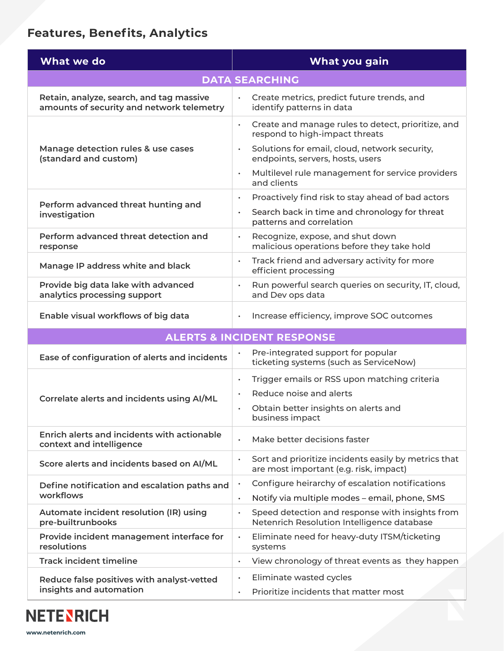## **Features, Benefits, Analytics**

| What we do                                                                            | What you gain                                                                                               |  |
|---------------------------------------------------------------------------------------|-------------------------------------------------------------------------------------------------------------|--|
| <b>DATA SEARCHING</b>                                                                 |                                                                                                             |  |
| Retain, analyze, search, and tag massive<br>amounts of security and network telemetry | Create metrics, predict future trends, and<br>identify patterns in data                                     |  |
| Manage detection rules & use cases<br>(standard and custom)                           | Create and manage rules to detect, prioritize, and<br>$\bullet$<br>respond to high-impact threats           |  |
|                                                                                       | Solutions for email, cloud, network security,<br>$\bullet$<br>endpoints, servers, hosts, users              |  |
|                                                                                       | Multilevel rule management for service providers<br>$\bullet$<br>and clients                                |  |
| Perform advanced threat hunting and<br>investigation                                  | Proactively find risk to stay ahead of bad actors<br>$\bullet$                                              |  |
|                                                                                       | Search back in time and chronology for threat<br>$\bullet$<br>patterns and correlation                      |  |
| Perform advanced threat detection and<br>response                                     | Recognize, expose, and shut down<br>$\bullet$<br>malicious operations before they take hold                 |  |
| Manage IP address white and black                                                     | Track friend and adversary activity for more<br>$\bullet$<br>efficient processing                           |  |
| Provide big data lake with advanced<br>analytics processing support                   | Run powerful search queries on security, IT, cloud,<br>$\bullet$<br>and Dev ops data                        |  |
| Enable visual workflows of big data                                                   | Increase efficiency, improve SOC outcomes                                                                   |  |
| <b>ALERTS &amp; INCIDENT RESPONSE</b>                                                 |                                                                                                             |  |
| Ease of configuration of alerts and incidents                                         | Pre-integrated support for popular<br>$\bullet$<br>ticketing systems (such as ServiceNow)                   |  |
|                                                                                       | Trigger emails or RSS upon matching criteria<br>$\bullet$                                                   |  |
| Correlate alerts and incidents using AI/ML                                            | Reduce noise and alerts                                                                                     |  |
|                                                                                       | Obtain better insights on alerts and<br>business impact                                                     |  |
| Enrich alerts and incidents with actionable<br>context and intelligence               | Make better decisions faster<br>$\bullet$                                                                   |  |
| Score alerts and incidents based on AI/ML                                             | Sort and prioritize incidents easily by metrics that<br>$\bullet$<br>are most important (e.g. risk, impact) |  |
| Define notification and escalation paths and                                          | Configure heirarchy of escalation notifications<br>$\bullet$                                                |  |
| workflows                                                                             | Notify via multiple modes - email, phone, SMS<br>$\bullet$                                                  |  |
| Automate incident resolution (IR) using<br>pre-builtrunbooks                          | Speed detection and response with insights from<br>$\bullet$<br>Netenrich Resolution Intelligence database  |  |
| Provide incident management interface for<br>resolutions                              | Eliminate need for heavy-duty ITSM/ticketing<br>$\bullet$<br>systems                                        |  |
| <b>Track incident timeline</b>                                                        | View chronology of threat events as they happen<br>$\bullet$                                                |  |
| Reduce false positives with analyst-vetted                                            | Eliminate wasted cycles<br>$\bullet$                                                                        |  |
| insights and automation                                                               | Prioritize incidents that matter most<br>$\bullet$                                                          |  |